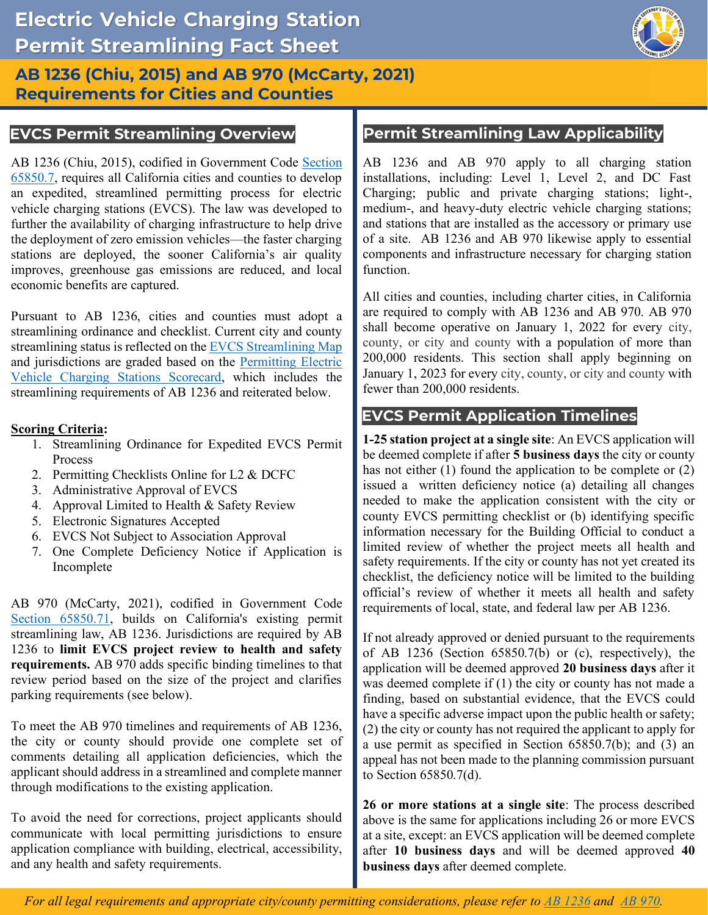

## **AB 1236 (Chiu, 2015) and AB 970 (McCarty, 2021) Requirements for Cities and Counties**

AB 1236 (Chiu, 2015), codified in Government Code Section [65850.7,](https://leginfo.legislature.ca.gov/faces/codes_displaySection.xhtml?lawCode=GOV§ionNum=65850.7) requires all California cities and counties to develop an expedited, streamlined permitting process for electric vehicle charging stations (EVCS). The law was developed to further the availability of charging infrastructure to help drive the deployment of zero emission vehicles—the faster charging stations are deployed, the sooner California's air quality improves, greenhouse gas emissions are reduced, and local economic benefits are captured.

 Pursuant to AB 1236, cities and counties must adopt a streamlining ordinance and checklist. Current city and county streamlining requirements of AB 1236 and reiterated below. streamlining status is reflected on the **EVCS** Streamlining Map and jurisdictions are graded based on the Permitting Electric [Vehicle Charging Stations Scorecard,](https://static.business.ca.gov/wp-content/uploads/2020/01/Permitting-Electric-Vehicle-Charging-Stations-Scorecard.pdf) which includes the

### **Scoring Criteria:**

- 1. Streamlining Ordinance for Expedited EVCS Permit Process
- 2. Permitting Checklists Online for L2 & DCFC
- 3. Administrative Approval of EVCS
- 4. Approval Limited to Health & Safety Review
- 5. Electronic Signatures Accepted
- 6. EVCS Not Subject to Association Approval
- 7. One Complete Deficiency Notice if Application is Incomplete

 AB 970 (McCarty, 2021), codified in Government Code [Section 65850.71,](https://leginfo.legislature.ca.gov/faces/billCompareClient.xhtml?bill_id=202120220AB970&showamends=false) builds on California's existing permit streamlining law, AB 1236. Jurisdictions are required by AB  1236 to **limit EVCS project review to health and safety requirements.** AB 970 adds specific binding timelines to that review period based on the size of the project and clarifies parking requirements (see below).

 To meet the AB 970 timelines and requirements of AB 1236, the city or county should provide one complete set of comments detailing all application deficiencies, which the applicant should address in a streamlined and complete manner through modifications to the existing application.

 To avoid the need for corrections, project applicants should communicate with local permitting jurisdictions to ensure application compliance with building, electrical, accessibility, and any health and safety requirements.

## **EVCS Permit Streamlining Overview Permit Streamlining Law Applicability**

 installations, including: Level 1, Level 2, and DC Fast Charging; public and private charging stations; light-, medium-, and heavy-duty electric vehicle charging stations; and stations that are installed as the accessory or primary use of a site. AB 1236 and AB 970 likewise apply to essential AB 1236 and AB 970 apply to all charging station components and infrastructure necessary for charging station function.

 All cities and counties, including charter cities, in California are required to comply with AB 1236 and AB 970. AB 970 shall become operative on January 1, 2022 for every city, county, or city and county with a population of more than January 1, 2023 for every city, county, or city and county with 200,000 residents. This section shall apply beginning on fewer than 200,000 residents.

## **EVCS Permit Application Timelines**

 **1-25 station project at a single site**: An EVCS application will be deemed complete if after **5 business days** the city or county has not either (1) found the application to be complete or (2) issued a written deficiency notice (a) detailing all changes needed to make the application consistent with the city or county EVCS permitting checklist or (b) identifying specific information necessary for the Building Official to conduct a limited review of whether the project meets all health and safety requirements. If the city or county has not yet created its checklist, the deficiency notice will be limited to the building official's review of whether it meets all health and safety requirements of local, state, and federal law per AB 1236.

 If not already approved or denied pursuant to the requirements of AB 1236 (Section 65850.7(b) or (c), respectively), the application will be deemed approved **20 business days** after it was deemed complete if (1) the city or county has not made a finding, based on substantial evidence, that the EVCS could have a specific adverse impact upon the public health or safety; (2) the city or county has not required the applicant to apply for a use permit as specified in Section 65850.7(b); and (3) an appeal has not been made to the planning commission pursuant to Section 65850.7(d).

 **26 or more stations at a single site**: The process described above is the same for applications including 26 or more EVCS at a site, except: an EVCS application will be deemed complete after **10 business days** and will be deemed approved **40 business days** after deemed complete.